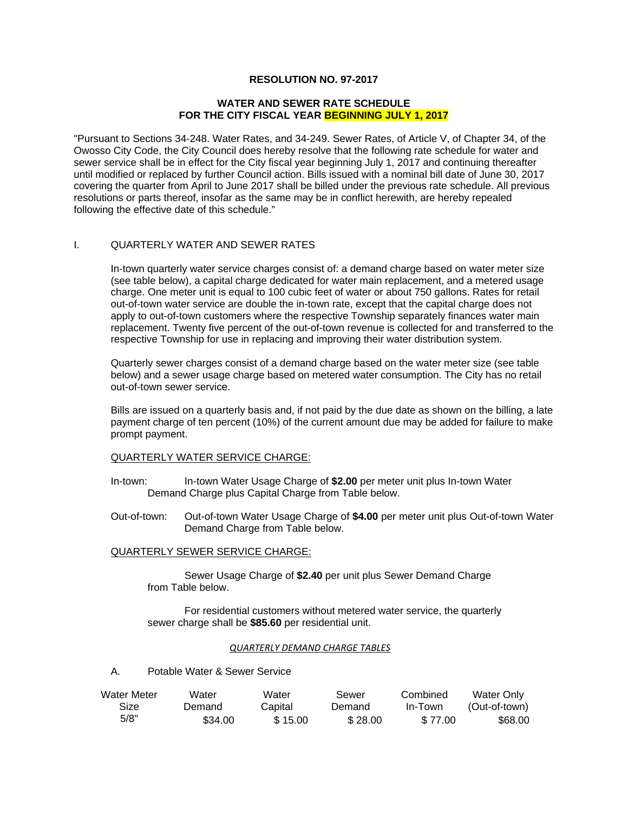# **RESOLUTION NO. 97-2017**

#### **WATER AND SEWER RATE SCHEDULE FOR THE CITY FISCAL YEAR BEGINNING JULY 1, 2017**

"Pursuant to Sections 34-248. Water Rates, and 34-249. Sewer Rates, of Article V, of Chapter 34, of the Owosso City Code, the City Council does hereby resolve that the following rate schedule for water and sewer service shall be in effect for the City fiscal year beginning July 1, 2017 and continuing thereafter until modified or replaced by further Council action. Bills issued with a nominal bill date of June 30, 2017 covering the quarter from April to June 2017 shall be billed under the previous rate schedule. All previous resolutions or parts thereof, insofar as the same may be in conflict herewith, are hereby repealed following the effective date of this schedule."

## I. QUARTERLY WATER AND SEWER RATES

In-town quarterly water service charges consist of: a demand charge based on water meter size (see table below), a capital charge dedicated for water main replacement, and a metered usage charge. One meter unit is equal to 100 cubic feet of water or about 750 gallons. Rates for retail out-of-town water service are double the in-town rate, except that the capital charge does not apply to out-of-town customers where the respective Township separately finances water main replacement. Twenty five percent of the out-of-town revenue is collected for and transferred to the respective Township for use in replacing and improving their water distribution system.

Quarterly sewer charges consist of a demand charge based on the water meter size (see table below) and a sewer usage charge based on metered water consumption. The City has no retail out-of-town sewer service.

Bills are issued on a quarterly basis and, if not paid by the due date as shown on the billing, a late payment charge of ten percent (10%) of the current amount due may be added for failure to make prompt payment.

## QUARTERLY WATER SERVICE CHARGE:

- In-town: In-town Water Usage Charge of **\$2.00** per meter unit plus In-town Water Demand Charge plus Capital Charge from Table below.
- Out-of-town: Out-of-town Water Usage Charge of **\$4.00** per meter unit plus Out-of-town Water Demand Charge from Table below.

## QUARTERLY SEWER SERVICE CHARGE:

Sewer Usage Charge of **\$2.40** per unit plus Sewer Demand Charge from Table below.

 For residential customers without metered water service, the quarterly sewer charge shall be **\$85.60** per residential unit.

#### *QUARTERLY DEMAND CHARGE TABLES*

A. Potable Water & Sewer Service

| Water Meter | Water   | Water   | Sewer   | Combined | Water Only    |
|-------------|---------|---------|---------|----------|---------------|
| Size        | Demand  | Capital | Demand  | In-Town  | (Out-of-town) |
| 5/8"        | \$34.00 | \$15.00 | \$28.00 | \$77.00  | \$68.00       |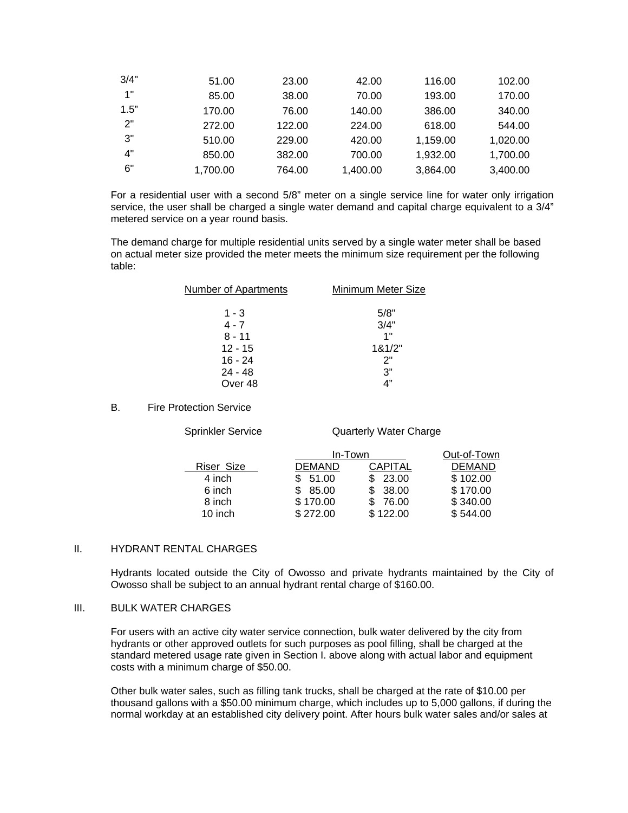| 3/4" | 51.00    | 23.00  | 42.00    | 116.00   | 102.00   |
|------|----------|--------|----------|----------|----------|
| 1"   | 85.00    | 38.00  | 70.00    | 193.00   | 170.00   |
| 1.5" | 170.00   | 76.00  | 140.00   | 386.00   | 340.00   |
| 2"   | 272.00   | 122.00 | 224.00   | 618.00   | 544.00   |
| 3"   | 510.00   | 229.00 | 420.00   | 1,159.00 | 1,020.00 |
| 4"   | 850.00   | 382.00 | 700.00   | 1,932.00 | 1,700.00 |
| 6"   | 1,700.00 | 764.00 | 1,400.00 | 3,864.00 | 3,400.00 |

For a residential user with a second 5/8" meter on a single service line for water only irrigation service, the user shall be charged a single water demand and capital charge equivalent to a 3/4" metered service on a year round basis.

The demand charge for multiple residential units served by a single water meter shall be based on actual meter size provided the meter meets the minimum size requirement per the following table:

| Number of Apartments | Minimum Meter Size |
|----------------------|--------------------|
| 1 - 3                | 5/8"               |
| $4 - 7$              | 3/4"               |
| $8 - 11$             | 1"                 |
| $12 - 15$            | 181/2"             |
| $16 - 24$            | 2"                 |
| $24 - 48$            | 3"                 |
| Over 48              | 4"                 |

## B. Fire Protection Service

Sprinkler Service **Quarterly Water Charge** 

|            |               | In-Town        |               |
|------------|---------------|----------------|---------------|
| Riser Size | <b>DEMAND</b> | <b>CAPITAL</b> | <b>DEMAND</b> |
| 4 inch     | \$51.00       | 23.00          | \$102.00      |
| 6 inch     | \$85.00       | 38.00          | \$170.00      |
| 8 inch     | \$170.00      | 76.00          | \$340.00      |
| 10 inch    | \$272.00      | \$122.00       | \$544.00      |

# II. HYDRANT RENTAL CHARGES

Hydrants located outside the City of Owosso and private hydrants maintained by the City of Owosso shall be subject to an annual hydrant rental charge of \$160.00.

#### III. BULK WATER CHARGES

For users with an active city water service connection, bulk water delivered by the city from hydrants or other approved outlets for such purposes as pool filling, shall be charged at the standard metered usage rate given in Section I. above along with actual labor and equipment costs with a minimum charge of \$50.00.

Other bulk water sales, such as filling tank trucks, shall be charged at the rate of \$10.00 per thousand gallons with a \$50.00 minimum charge, which includes up to 5,000 gallons, if during the normal workday at an established city delivery point. After hours bulk water sales and/or sales at